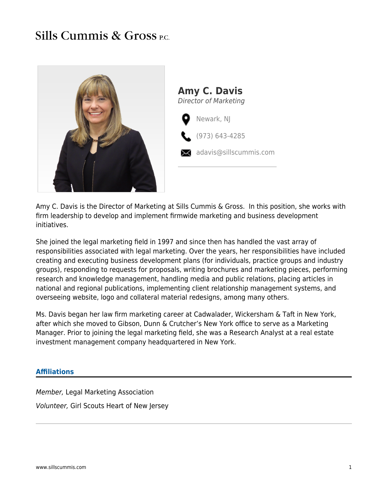## **Sills Cummis & Gross P.C.**



Amy C. Davis is the Director of Marketing at Sills Cummis & Gross. In this position, she works with firm leadership to develop and implement firmwide marketing and business development initiatives.

She joined the legal marketing field in 1997 and since then has handled the vast array of responsibilities associated with legal marketing. Over the years, her responsibilities have included creating and executing business development plans (for individuals, practice groups and industry groups), responding to requests for proposals, writing brochures and marketing pieces, performing research and knowledge management, handling media and public relations, placing articles in national and regional publications, implementing client relationship management systems, and overseeing website, logo and collateral material redesigns, among many others.

Ms. Davis began her law firm marketing career at Cadwalader, Wickersham & Taft in New York, after which she moved to Gibson, Dunn & Crutcher's New York office to serve as a Marketing Manager. Prior to joining the legal marketing field, she was a Research Analyst at a real estate investment management company headquartered in New York.

## **Affiliations**

Member, Legal Marketing Association Volunteer, Girl Scouts Heart of New Jersey